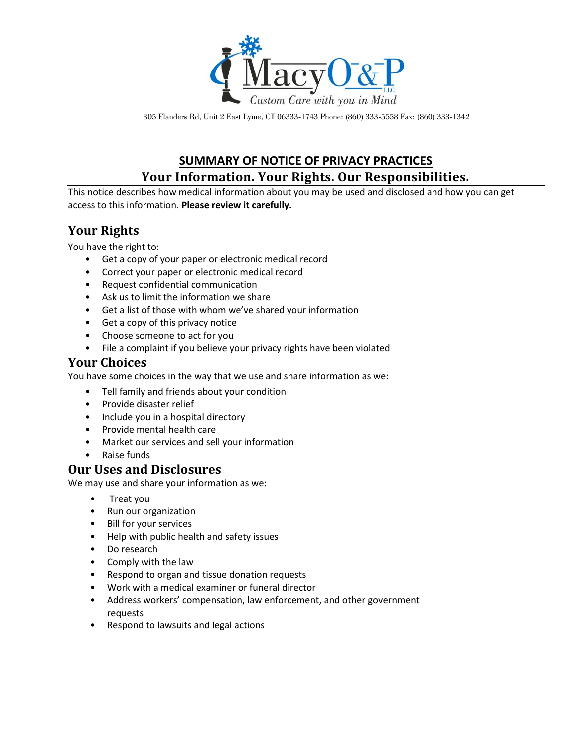

305 Flanders Rd, Unit 2 East Lyme, CT 06333-1743 Phone: (860) 333-5558 Fax: (860) 333-1342

# **SUMMARY OF NOTICE OF PRIVACY PRACTICES Your Information. Your Rights. Our Responsibilities.**

This notice describes how medical information about you may be used and disclosed and how you can get access to this information. **Please review it carefully.**

# **Your Rights**

You have the right to:

- Get a copy of your paper or electronic medical record
- Correct your paper or electronic medical record
- Request confidential communication
- Ask us to limit the information we share
- Get a list of those with whom we've shared your information
- Get a copy of this privacy notice
- Choose someone to act for you
- File a complaint if you believe your privacy rights have been violated

## **Your Choices**

You have some choices in the way that we use and share information as we:

- Tell family and friends about your condition
- Provide disaster relief
- Include you in a hospital directory
- Provide mental health care
- Market our services and sell your information
- Raise funds

## **Our Uses and Disclosures**

We may use and share your information as we:

- Treat you
- Run our organization
- Bill for your services
- Help with public health and safety issues
- Do research
- Comply with the law
- Respond to organ and tissue donation requests
- Work with a medical examiner or funeral director
- Address workers' compensation, law enforcement, and other government requests
- Respond to lawsuits and legal actions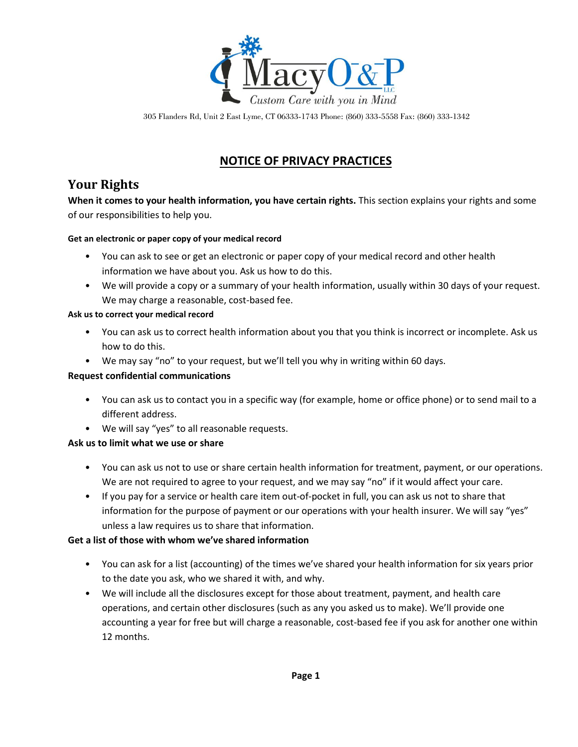

305 Flanders Rd, Unit 2 East Lyme, CT 06333-1743 Phone: (860) 333-5558 Fax: (860) 333-1342

# **NOTICE OF PRIVACY PRACTICES**

# **Your Rights**

**When it comes to your health information, you have certain rights.** This section explains your rights and some of our responsibilities to help you.

### **Get an electronic or paper copy of your medical record**

- You can ask to see or get an electronic or paper copy of your medical record and other health information we have about you. Ask us how to do this.
- We will provide a copy or a summary of your health information, usually within 30 days of your request. We may charge a reasonable, cost-based fee.

### **Ask us to correct your medical record**

- You can ask us to correct health information about you that you think is incorrect or incomplete. Ask us how to do this.
- We may say "no" to your request, but we'll tell you why in writing within 60 days.

### **Request confidential communications**

- You can ask us to contact you in a specific way (for example, home or office phone) or to send mail to a different address.
- We will say "yes" to all reasonable requests.

## **Ask us to limit what we use or share**

- You can ask us not to use or share certain health information for treatment, payment, or our operations. We are not required to agree to your request, and we may say "no" if it would affect your care.
- If you pay for a service or health care item out-of-pocket in full, you can ask us not to share that information for the purpose of payment or our operations with your health insurer. We will say "yes" unless a law requires us to share that information.

## **Get a list of those with whom we've shared information**

- You can ask for a list (accounting) of the times we've shared your health information for six years prior to the date you ask, who we shared it with, and why.
- We will include all the disclosures except for those about treatment, payment, and health care operations, and certain other disclosures (such as any you asked us to make). We'll provide one accounting a year for free but will charge a reasonable, cost-based fee if you ask for another one within 12 months.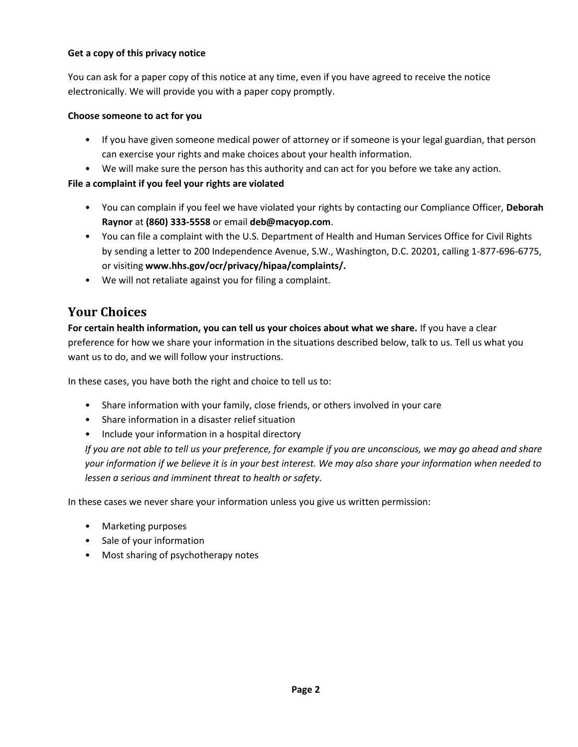#### **Get a copy of this privacy notice**

You can ask for a paper copy of this notice at any time, even if you have agreed to receive the notice electronically. We will provide you with a paper copy promptly.

#### **Choose someone to act for you**

- If you have given someone medical power of attorney or if someone is your legal guardian, that person can exercise your rights and make choices about your health information.
- We will make sure the person has this authority and can act for you before we take any action.

### **File a complaint if you feel your rights are violated**

- You can complain if you feel we have violated your rights by contacting our Compliance Officer, **Deborah Raynor** at **(860) 333-5558** or email **deb@macyop.com**.
- You can file a complaint with the U.S. Department of Health and Human Services Office for Civil Rights by sending a letter to 200 Independence Avenue, S.W., Washington, D.C. 20201, calling 1-877-696-6775, or visiting **www.hhs.gov/ocr/privacy/hipaa/complaints/.**
- We will not retaliate against you for filing a complaint.

## **Your Choices**

**For certain health information, you can tell us your choices about what we share.** If you have a clear preference for how we share your information in the situations described below, talk to us. Tell us what you want us to do, and we will follow your instructions.

In these cases, you have both the right and choice to tell us to:

- Share information with your family, close friends, or others involved in your care
- Share information in a disaster relief situation
- Include your information in a hospital directory

*If you are not able to tell us your preference, for example if you are unconscious, we may go ahead and share your information if we believe it is in your best interest. We may also share your information when needed to lessen a serious and imminent threat to health or safety.*

In these cases we never share your information unless you give us written permission:

- Marketing purposes
- Sale of your information
- Most sharing of psychotherapy notes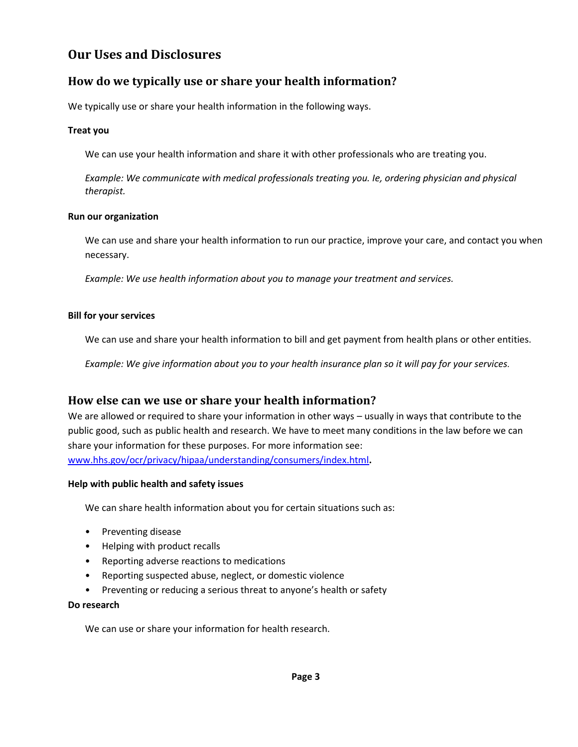# **Our Uses and Disclosures**

## **How do we typically use or share your health information?**

We typically use or share your health information in the following ways.

#### **Treat you**

We can use your health information and share it with other professionals who are treating you.

*Example: We communicate with medical professionals treating you. Ie, ordering physician and physical therapist.* 

#### **Run our organization**

We can use and share your health information to run our practice, improve your care, and contact you when necessary.

*Example: We use health information about you to manage your treatment and services.* 

#### **Bill for your services**

We can use and share your health information to bill and get payment from health plans or other entities.

*Example: We give information about you to your health insurance plan so it will pay for your services.* 

## **How else can we use or share your health information?**

We are allowed or required to share your information in other ways – usually in ways that contribute to the public good, such as public health and research. We have to meet many conditions in the law before we can share your information for these purposes. For more information see: [www.hhs.gov/ocr/privacy/hipaa/understanding/consumers/index.html](http://www.hhs.gov/ocr/privacy/hipaa/understanding/consumers/index.html)**.**

#### **Help with public health and safety issues**

We can share health information about you for certain situations such as:

- Preventing disease
- Helping with product recalls
- Reporting adverse reactions to medications
- Reporting suspected abuse, neglect, or domestic violence
- Preventing or reducing a serious threat to anyone's health or safety

#### **Do research**

We can use or share your information for health research.